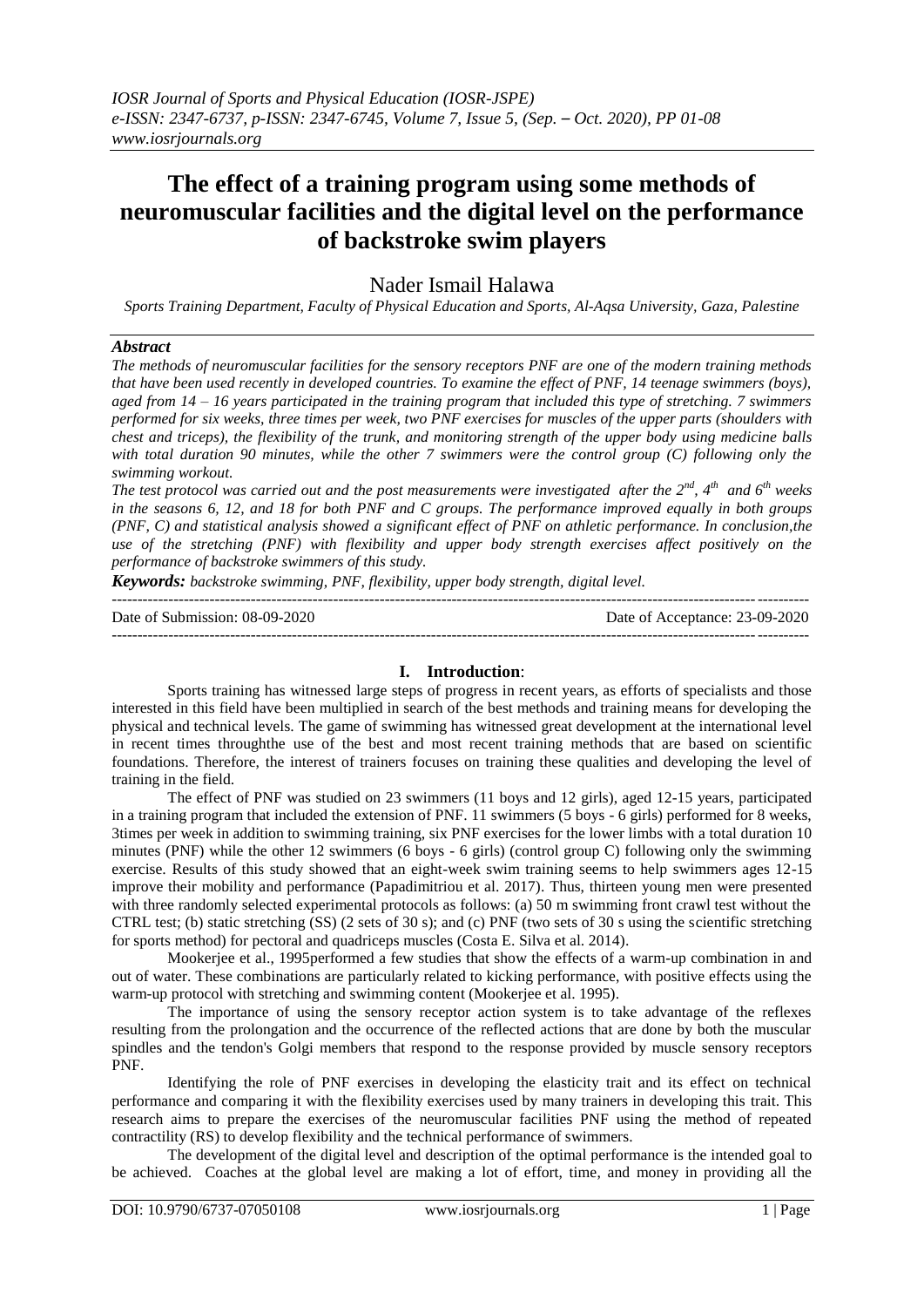# **The effect of a training program using some methods of neuromuscular facilities and the digital level on the performance of backstroke swim players**

Nader Ismail Halawa

*Sports Training Department, Faculty of Physical Education and Sports, Al-Aqsa University, Gaza, Palestine*

#### *Abstract*

*The methods of neuromuscular facilities for the sensory receptors PNF are one of the modern training methods that have been used recently in developed countries. To examine the effect of PNF, 14 teenage swimmers (boys), aged from 14 – 16 years participated in the training program that included this type of stretching. 7 swimmers performed for six weeks, three times per week, two PNF exercises for muscles of the upper parts (shoulders with chest and triceps), the flexibility of the trunk, and monitoring strength of the upper body using medicine balls with total duration 90 minutes, while the other 7 swimmers were the control group (C) following only the swimming workout.* 

*The test protocol was carried out and the post measurements were investigated after the 2nd, 4th and 6th weeks in the seasons 6, 12, and 18 for both PNF and C groups. The performance improved equally in both groups (PNF, C) and statistical analysis showed a significant effect of PNF on athletic performance. In conclusion,the use of the stretching (PNF) with flexibility and upper body strength exercises affect positively on the performance of backstroke swimmers of this study.*

*Keywords: backstroke swimming, PNF, flexibility, upper body strength, digital level.*

| Date of Submission: 08-09-2020 | Date of Acceptance: 23-09-2020 |
|--------------------------------|--------------------------------|
|                                |                                |

## **I. Introduction**:

Sports training has witnessed large steps of progress in recent years, as efforts of specialists and those interested in this field have been multiplied in search of the best methods and training means for developing the physical and technical levels. The game of swimming has witnessed great development at the international level in recent times throughthe use of the best and most recent training methods that are based on scientific foundations. Therefore, the interest of trainers focuses on training these qualities and developing the level of training in the field.

The effect of PNF was studied on 23 swimmers (11 boys and 12 girls), aged 12-15 years, participated in a training program that included the extension of PNF. 11 swimmers (5 boys - 6 girls) performed for 8 weeks, 3times per week in addition to swimming training, six PNF exercises for the lower limbs with a total duration 10 minutes (PNF) while the other 12 swimmers (6 boys - 6 girls) (control group C) following only the swimming exercise. Results of this study showed that an eight-week swim training seems to help swimmers ages 12-15 improve their mobility and performance (Papadimitriou et al. 2017). Thus, thirteen young men were presented with three randomly selected experimental protocols as follows: (a) 50 m swimming front crawl test without the CTRL test; (b) static stretching (SS) (2 sets of 30 s); and (c) PNF (two sets of 30 s using the scientific stretching for sports method) for pectoral and quadriceps muscles (Costa E. Silva et al. 2014).

Mookerjee et al., 1995performed a few studies that show the effects of a warm-up combination in and out of water. These combinations are particularly related to kicking performance, with positive effects using the warm-up protocol with stretching and swimming content (Mookerjee et al. 1995).

The importance of using the sensory receptor action system is to take advantage of the reflexes resulting from the prolongation and the occurrence of the reflected actions that are done by both the muscular spindles and the tendon's Golgi members that respond to the response provided by muscle sensory receptors PNF.

Identifying the role of PNF exercises in developing the elasticity trait and its effect on technical performance and comparing it with the flexibility exercises used by many trainers in developing this trait. This research aims to prepare the exercises of the neuromuscular facilities PNF using the method of repeated contractility (RS) to develop flexibility and the technical performance of swimmers.

The development of the digital level and description of the optimal performance is the intended goal to be achieved. Coaches at the global level are making a lot of effort, time, and money in providing all the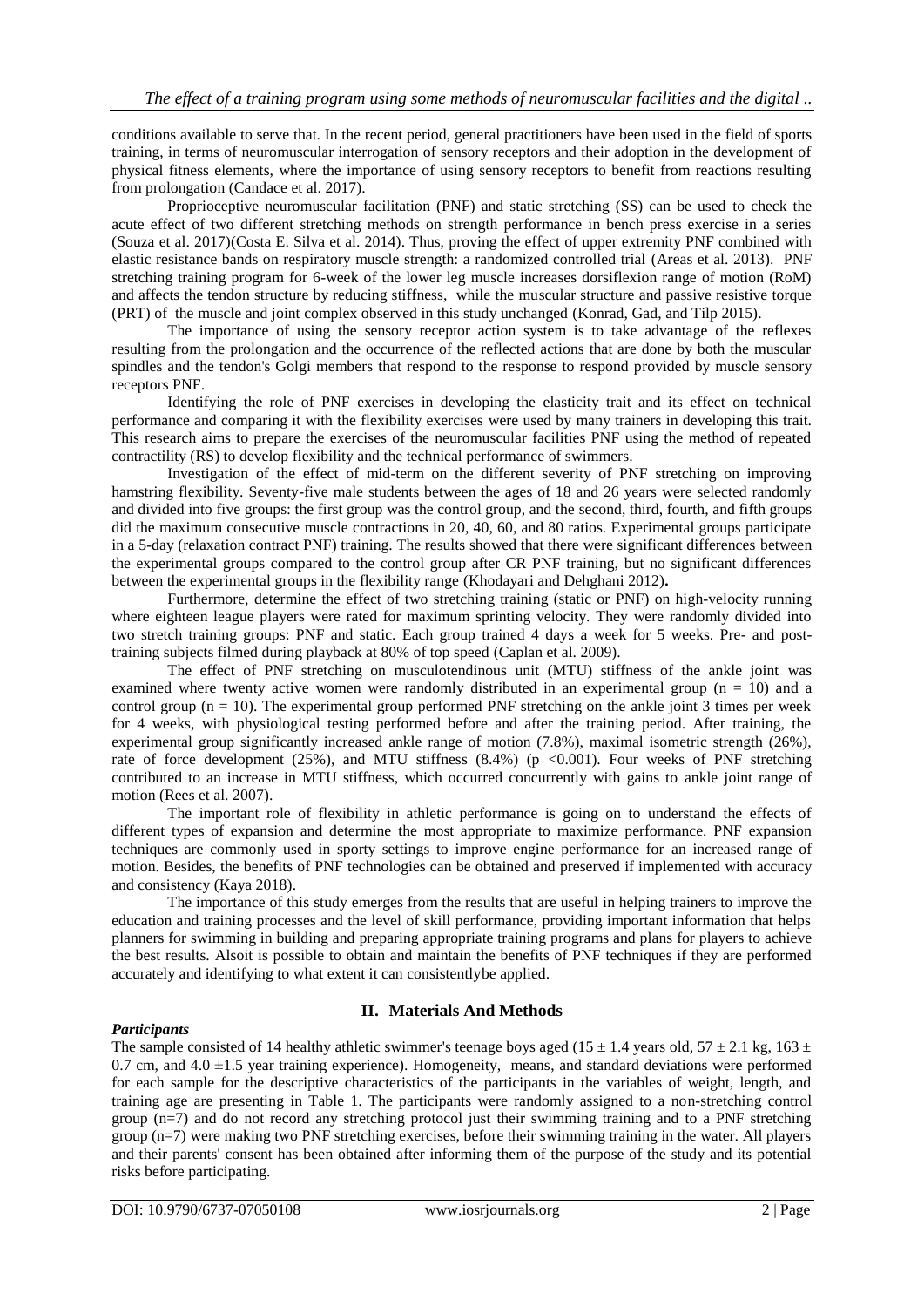conditions available to serve that. In the recent period, general practitioners have been used in the field of sports training, in terms of neuromuscular interrogation of sensory receptors and their adoption in the development of physical fitness elements, where the importance of using sensory receptors to benefit from reactions resulting from prolongation (Candace et al. 2017).

Proprioceptive neuromuscular facilitation (PNF) and static stretching (SS) can be used to check the acute effect of two different stretching methods on strength performance in bench press exercise in a series (Souza et al. 2017)(Costa E. Silva et al. 2014). Thus, proving the effect of upper extremity PNF combined with elastic resistance bands on respiratory muscle strength: a randomized controlled trial (Areas et al. 2013). PNF stretching training program for 6-week of the lower leg muscle increases dorsiflexion range of motion (RoM) and affects the tendon structure by reducing stiffness, while the muscular structure and passive resistive torque (PRT) of the muscle and joint complex observed in this study unchanged (Konrad, Gad, and Tilp 2015).

The importance of using the sensory receptor action system is to take advantage of the reflexes resulting from the prolongation and the occurrence of the reflected actions that are done by both the muscular spindles and the tendon's Golgi members that respond to the response to respond provided by muscle sensory receptors PNF.

Identifying the role of PNF exercises in developing the elasticity trait and its effect on technical performance and comparing it with the flexibility exercises were used by many trainers in developing this trait. This research aims to prepare the exercises of the neuromuscular facilities PNF using the method of repeated contractility (RS) to develop flexibility and the technical performance of swimmers.

Investigation of the effect of mid-term on the different severity of PNF stretching on improving hamstring flexibility. Seventy-five male students between the ages of 18 and 26 years were selected randomly and divided into five groups: the first group was the control group, and the second, third, fourth, and fifth groups did the maximum consecutive muscle contractions in 20, 40, 60, and 80 ratios. Experimental groups participate in a 5-day (relaxation contract PNF) training. The results showed that there were significant differences between the experimental groups compared to the control group after CR PNF training, but no significant differences between the experimental groups in the flexibility range (Khodayari and Dehghani 2012)**.**

Furthermore, determine the effect of two stretching training (static or PNF) on high-velocity running where eighteen league players were rated for maximum sprinting velocity. They were randomly divided into two stretch training groups: PNF and static. Each group trained 4 days a week for 5 weeks. Pre- and posttraining subjects filmed during playback at 80% of top speed (Caplan et al. 2009).

The effect of PNF stretching on musculotendinous unit (MTU) stiffness of the ankle joint was examined where twenty active women were randomly distributed in an experimental group  $(n = 10)$  and a control group ( $n = 10$ ). The experimental group performed PNF stretching on the ankle joint 3 times per week for 4 weeks, with physiological testing performed before and after the training period. After training, the experimental group significantly increased ankle range of motion (7.8%), maximal isometric strength (26%), rate of force development (25%), and MTU stiffness (8.4%) (p <0.001). Four weeks of PNF stretching contributed to an increase in MTU stiffness, which occurred concurrently with gains to ankle joint range of motion (Rees et al. 2007).

The important role of flexibility in athletic performance is going on to understand the effects of different types of expansion and determine the most appropriate to maximize performance. PNF expansion techniques are commonly used in sporty settings to improve engine performance for an increased range of motion. Besides, the benefits of PNF technologies can be obtained and preserved if implemented with accuracy and consistency (Kaya 2018).

The importance of this study emerges from the results that are useful in helping trainers to improve the education and training processes and the level of skill performance, providing important information that helps planners for swimming in building and preparing appropriate training programs and plans for players to achieve the best results. Alsoit is possible to obtain and maintain the benefits of PNF techniques if they are performed accurately and identifying to what extent it can consistentlybe applied.

## **II. Materials And Methods**

## *Participants*

The sample consisted of 14 healthy athletic swimmer's teenage boys aged (15  $\pm$  1.4 years old, 57  $\pm$  2.1 kg, 163  $\pm$  $0.7$  cm, and  $4.0 \pm 1.5$  year training experience). Homogeneity, means, and standard deviations were performed for each sample for the descriptive characteristics of the participants in the variables of weight, length, and training age are presenting in Table 1. The participants were randomly assigned to a non-stretching control group  $(n=7)$  and do not record any stretching protocol just their swimming training and to a PNF stretching group (n=7) were making two PNF stretching exercises, before their swimming training in the water. All players and their parents' consent has been obtained after informing them of the purpose of the study and its potential risks before participating.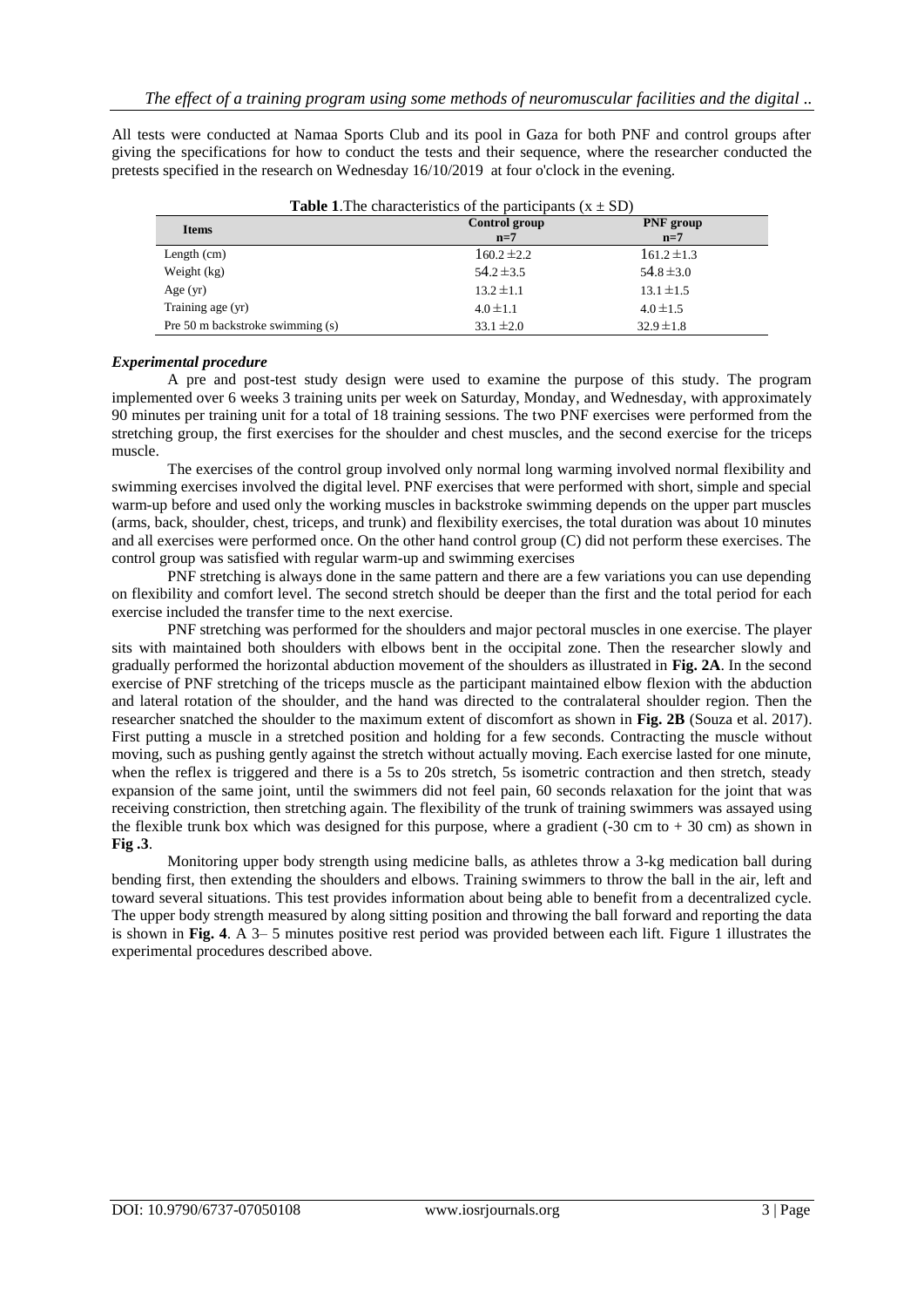All tests were conducted at Namaa Sports Club and its pool in Gaza for both PNF and control groups after giving the specifications for how to conduct the tests and their sequence, where the researcher conducted the pretests specified in the research on Wednesday 16/10/2019 at four o'clock in the evening.

| <b>Items</b>                     | Control group<br>$n=7$ | PNF group<br>$n=7$ |
|----------------------------------|------------------------|--------------------|
| Length $(cm)$                    | $160.2 \pm 2.2$        | $161.2 \pm 1.3$    |
| Weight (kg)                      | $54.2 \pm 3.5$         | $54.8 \pm 3.0$     |
| Age $(yr)$                       | $13.2 \pm 1.1$         | $13.1 \pm 1.5$     |
| Training age (yr)                | $4.0 \pm 1.1$          | $4.0 \pm 1.5$      |
| Pre 50 m backstroke swimming (s) | $33.1 \pm 2.0$         | $32.9 \pm 1.8$     |

**Table 1.** The characteristics of the participants  $(x + SD)$ 

## *Experimental procedure*

A pre and post-test study design were used to examine the purpose of this study. The program implemented over 6 weeks 3 training units per week on Saturday, Monday, and Wednesday, with approximately 90 minutes per training unit for a total of 18 training sessions. The two PNF exercises were performed from the stretching group, the first exercises for the shoulder and chest muscles, and the second exercise for the triceps muscle.

The exercises of the control group involved only normal long warming involved normal flexibility and swimming exercises involved the digital level. PNF exercises that were performed with short, simple and special warm-up before and used only the working muscles in backstroke swimming depends on the upper part muscles (arms, back, shoulder, chest, triceps, and trunk) and flexibility exercises, the total duration was about 10 minutes and all exercises were performed once. On the other hand control group (C) did not perform these exercises. The control group was satisfied with regular warm-up and swimming exercises

PNF stretching is always done in the same pattern and there are a few variations you can use depending on flexibility and comfort level. The second stretch should be deeper than the first and the total period for each exercise included the transfer time to the next exercise.

PNF stretching was performed for the shoulders and major pectoral muscles in one exercise. The player sits with maintained both shoulders with elbows bent in the occipital zone. Then the researcher slowly and gradually performed the horizontal abduction movement of the shoulders as illustrated in **Fig. 2A**. In the second exercise of PNF stretching of the triceps muscle as the participant maintained elbow flexion with the abduction and lateral rotation of the shoulder, and the hand was directed to the contralateral shoulder region. Then the researcher snatched the shoulder to the maximum extent of discomfort as shown in **Fig. 2B** (Souza et al. 2017). First putting a muscle in a stretched position and holding for a few seconds. Contracting the muscle without moving, such as pushing gently against the stretch without actually moving. Each exercise lasted for one minute, when the reflex is triggered and there is a 5s to 20s stretch, 5s isometric contraction and then stretch, steady expansion of the same joint, until the swimmers did not feel pain, 60 seconds relaxation for the joint that was receiving constriction, then stretching again. The flexibility of the trunk of training swimmers was assayed using the flexible trunk box which was designed for this purpose, where a gradient  $(-30 \text{ cm to } +30 \text{ cm})$  as shown in **Fig .3**.

Monitoring upper body strength using medicine balls, as athletes throw a 3-kg medication ball during bending first, then extending the shoulders and elbows. Training swimmers to throw the ball in the air, left and toward several situations. This test provides information about being able to benefit from a decentralized cycle. The upper body strength measured by along sitting position and throwing the ball forward and reporting the data is shown in **Fig. 4**. A 3– 5 minutes positive rest period was provided between each lift. Figure 1 illustrates the experimental procedures described above.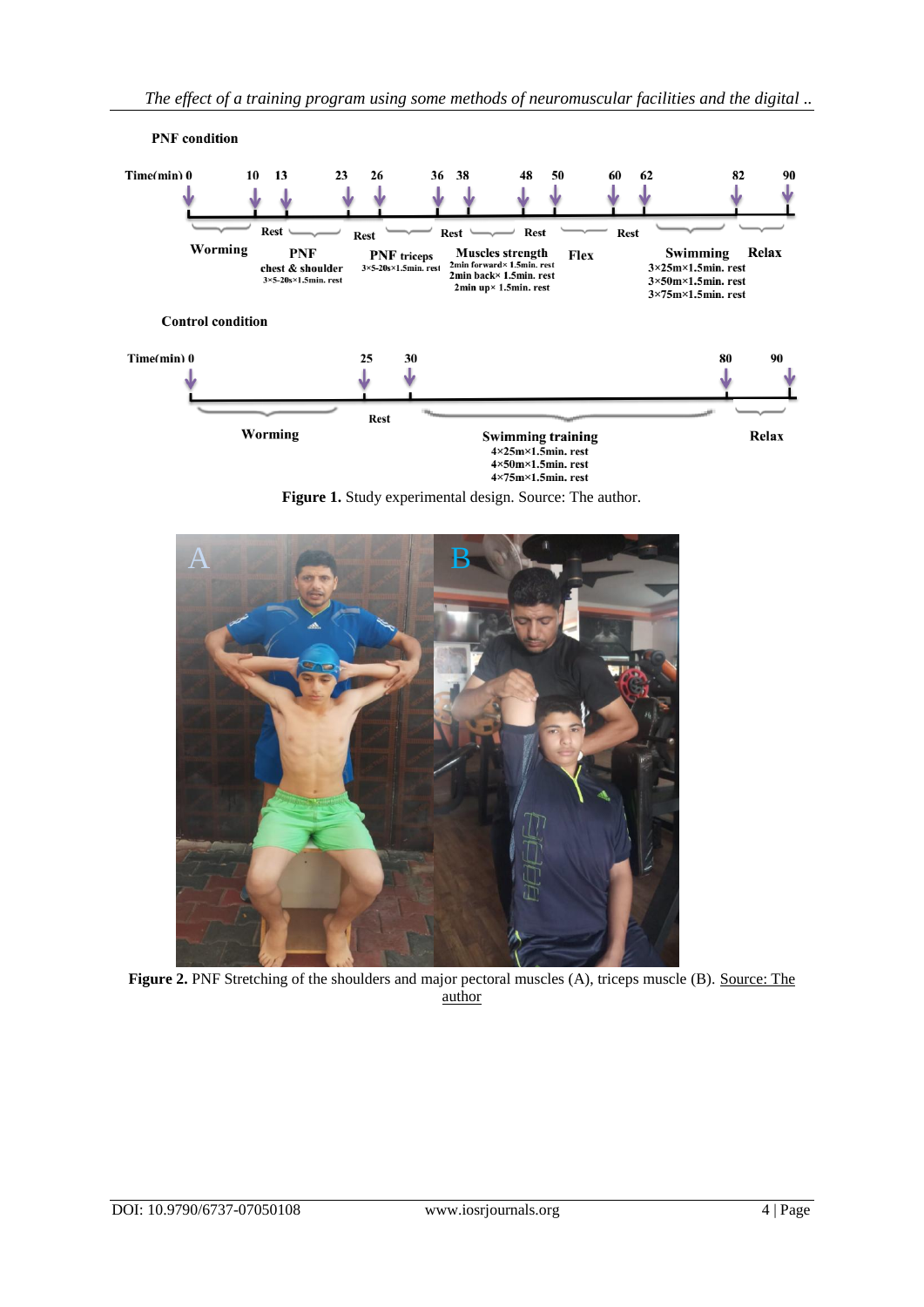

**Figure 1.** Study experimental design. Source: The author.



**Figure 2.** PNF Stretching of the shoulders and major pectoral muscles (A), triceps muscle (B). Source: The author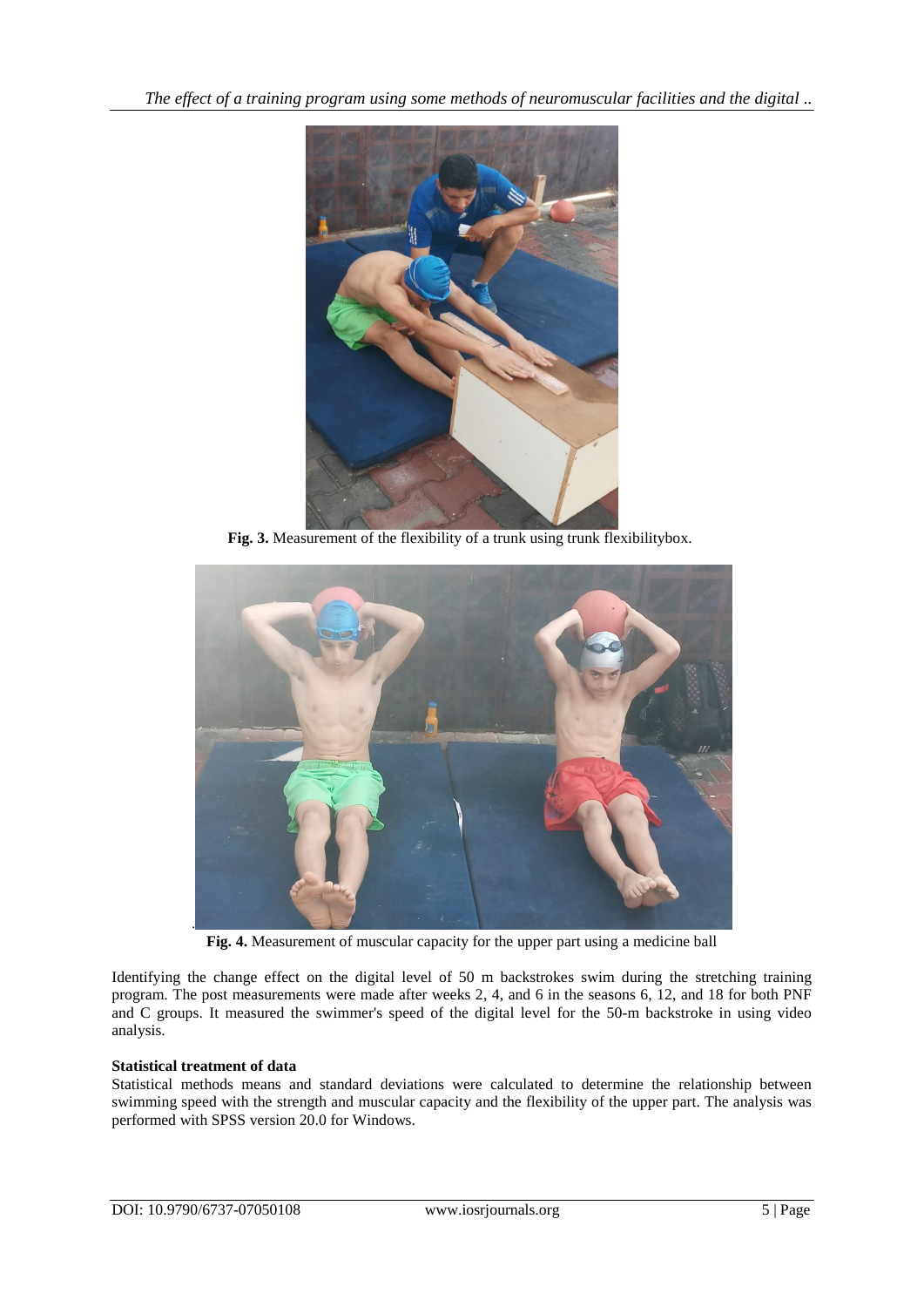*The effect of a training program using some methods of neuromuscular facilities and the digital ..*



Fig. 3. Measurement of the flexibility of a trunk using trunk flexibilitybox.



**Fig. 4.** Measurement of muscular capacity for the upper part using a medicine ball

Identifying the change effect on the digital level of 50 m backstrokes swim during the stretching training program. The post measurements were made after weeks 2, 4, and 6 in the seasons 6, 12, and 18 for both PNF and C groups. It measured the swimmer's speed of the digital level for the 50-m backstroke in using video analysis.

## **Statistical treatment of data**

Statistical methods means and standard deviations were calculated to determine the relationship between swimming speed with the strength and muscular capacity and the flexibility of the upper part. The analysis was performed with SPSS version 20.0 for Windows.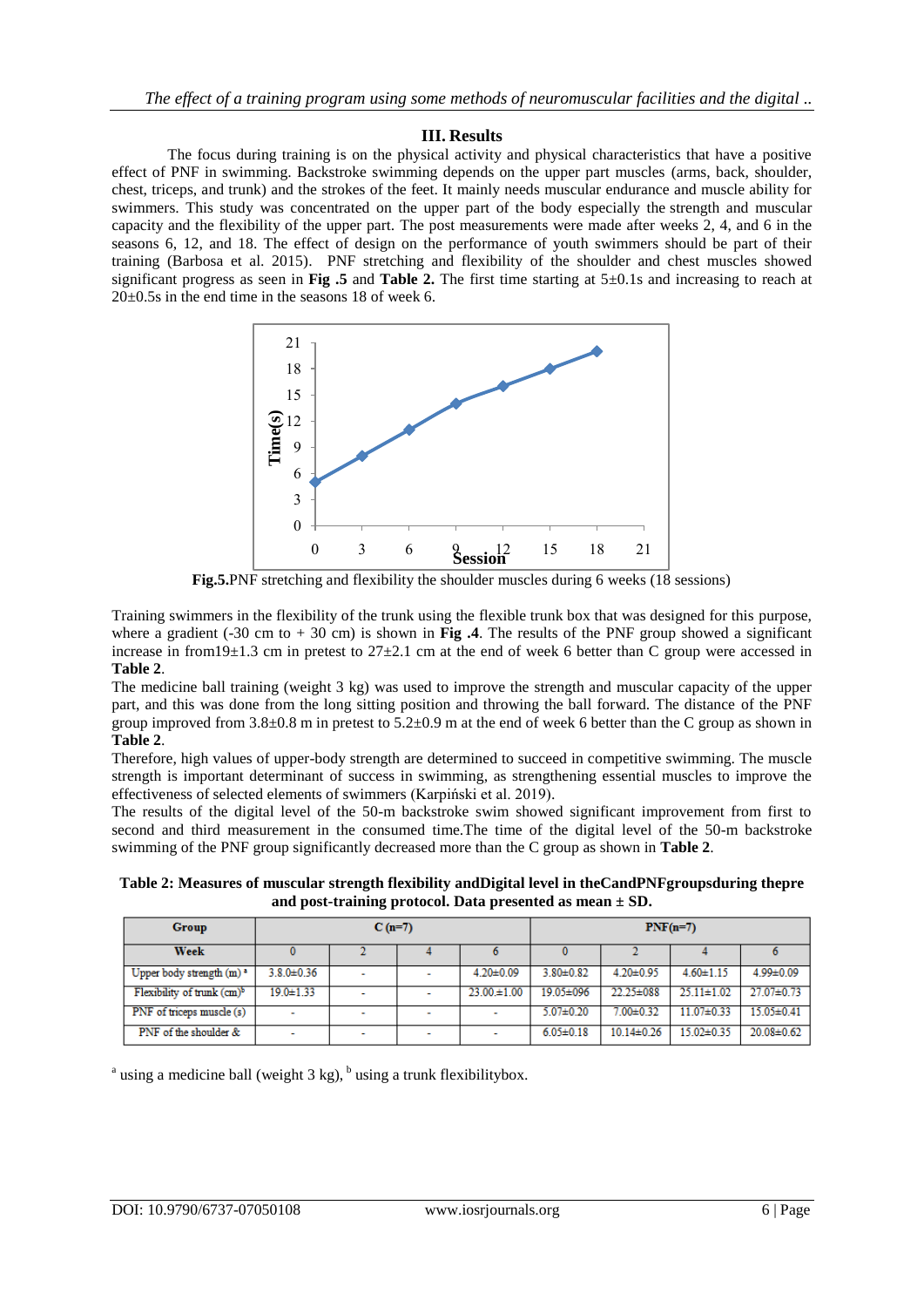## **III. Results**

The focus during training is on the physical activity and physical characteristics that have a positive effect of PNF in swimming. Backstroke swimming depends on the upper part muscles (arms, back, shoulder, chest, triceps, and trunk) and the strokes of the feet. It mainly needs muscular endurance and muscle ability for swimmers. This study was concentrated on the upper part of the body especially the strength and muscular capacity and the flexibility of the upper part. The post measurements were made after weeks 2, 4, and 6 in the seasons 6, 12, and 18. The effect of design on the performance of youth swimmers should be part of their training (Barbosa et al. 2015). PNF stretching and flexibility of the shoulder and chest muscles showed significant progress as seen in **Fig .5** and **Table 2.** The first time starting at 5±0.1s and increasing to reach at 20±0.5s in the end time in the seasons 18 of week 6.



**Fig.5.**PNF stretching and flexibility the shoulder muscles during 6 weeks (18 sessions)

Training swimmers in the flexibility of the trunk using the flexible trunk box that was designed for this purpose, where a gradient (-30 cm to + 30 cm) is shown in **Fig** .4. The results of the PNF group showed a significant increase in from19 $\pm$ 1.3 cm in pretest to 27 $\pm$ 2.1 cm at the end of week 6 better than C group were accessed in **Table 2**.

The medicine ball training (weight 3 kg) was used to improve the strength and muscular capacity of the upper part, and this was done from the long sitting position and throwing the ball forward. The distance of the PNF group improved from  $3.8\pm0.8$  m in pretest to  $5.2\pm0.9$  m at the end of week 6 better than the C group as shown in **Table 2**.

Therefore, high values of upper-body strength are determined to succeed in competitive swimming. The muscle strength is important determinant of success in swimming, as strengthening essential muscles to improve the effectiveness of selected elements of swimmers (Karpiński et al. 2019).

The results of the digital level of the 50-m backstroke swim showed significant improvement from first to second and third measurement in the consumed time.The time of the digital level of the 50-m backstroke swimming of the PNF group significantly decreased more than the C group as shown in **Table 2**.

**Table 2: Measures of muscular strength flexibility andDigital level in theCandPNFgroupsduring thepre and post-training protocol. Data presented as mean ± SD.**

| Group                                  | $C(n=7)$         |                          |                          | $PNF(n=7)$       |                 |                  |                  |                  |
|----------------------------------------|------------------|--------------------------|--------------------------|------------------|-----------------|------------------|------------------|------------------|
| <b>Week</b>                            |                  |                          |                          |                  |                 |                  |                  |                  |
| Upper body strength $(m)^a$            | $3.8.0 \pm 0.36$ | $\overline{\phantom{a}}$ |                          | $4.20 \pm 0.09$  | $3.80 \pm 0.82$ | 4.20±0.95        | $4.60 \pm 1.15$  | 4.99±0.09        |
| Flexibility of trunk (cm) <sup>b</sup> | $19.0 \pm 1.33$  |                          |                          | $23.00 \pm 1.00$ | 19.05±096       | $22.25 \pm 088$  | $25.11 \pm 1.02$ | $27.07 \pm 0.73$ |
| PNF of triceps muscle (s)              | ۰                |                          | $\overline{\phantom{a}}$ | ۰                | $5.07 \pm 0.20$ | $7.00 + 0.32$    | $11.07 \pm 0.33$ | $15.05 \pm 0.41$ |
| PNF of the shoulder $\&$               | ۰                |                          | -                        | ٠                | $6.05 \pm 0.18$ | $10.14 \pm 0.26$ | $15.02 \pm 0.35$ | $20.08 \pm 0.62$ |

<sup>a</sup> using a medicine ball (weight 3 kg),  $<sup>b</sup>$  using a trunk flexibilitybox.</sup>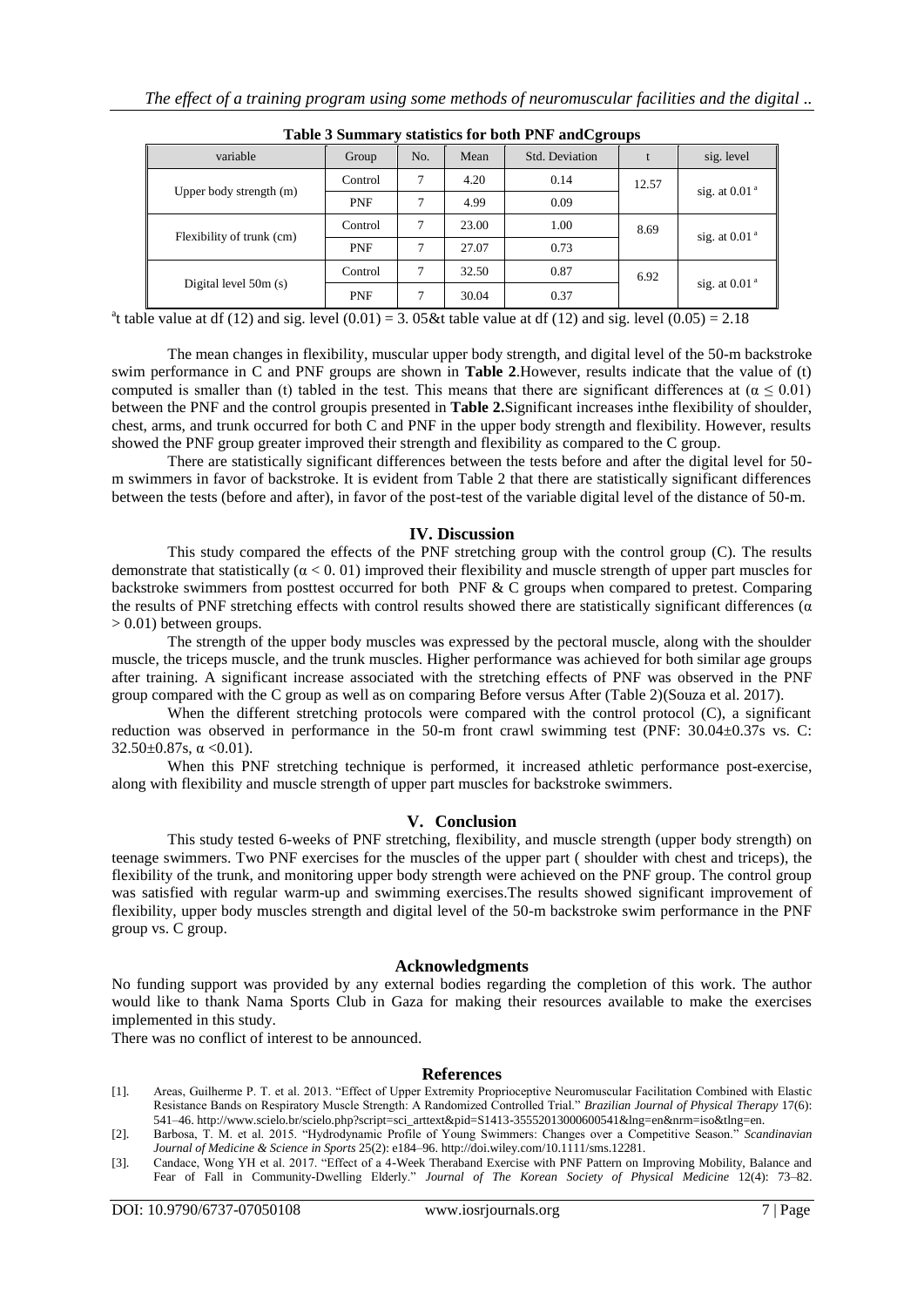| Table 5 Bunning y statistics for both TTVF and Cgroups |            |     |       |                |       |                 |  |
|--------------------------------------------------------|------------|-----|-------|----------------|-------|-----------------|--|
| variable                                               | Group      | No. | Mean  | Std. Deviation |       | sig. level      |  |
| Upper body strength (m)                                | Control    |     | 4.20  | 0.14           | 12.57 |                 |  |
|                                                        | <b>PNF</b> |     | 4.99  | 0.09           |       | sig. at $0.01a$ |  |
| Flexibility of trunk (cm)                              | Control    |     | 23.00 | 1.00           | 8.69  | sig. at $0.01a$ |  |
|                                                        | <b>PNF</b> |     | 27.07 | 0.73           |       |                 |  |
| Digital level 50m (s)                                  | Control    | 7   | 32.50 | 0.87           | 6.92  |                 |  |
|                                                        | PNF        |     | 30.04 | 0.37           |       | sig. at $0.01a$ |  |

**Table 3 Summary statistics for both PNF andCgroups**

<sup>a</sup>t table value at df (12) and sig. level  $(0.01) = 3.05$  & table value at df (12) and sig. level  $(0.05) = 2.18$ 

The mean changes in flexibility, muscular upper body strength, and digital level of the 50-m backstroke swim performance in C and PNF groups are shown in **Table 2**.However, results indicate that the value of (t) computed is smaller than (t) tabled in the test. This means that there are significant differences at ( $\alpha \le 0.01$ ) between the PNF and the control groupis presented in **Table 2.**Significant increases inthe flexibility of shoulder, chest, arms, and trunk occurred for both C and PNF in the upper body strength and flexibility. However, results showed the PNF group greater improved their strength and flexibility as compared to the C group.

There are statistically significant differences between the tests before and after the digital level for 50 m swimmers in favor of backstroke. It is evident from Table 2 that there are statistically significant differences between the tests (before and after), in favor of the post-test of the variable digital level of the distance of 50-m.

## **IV. Discussion**

This study compared the effects of the PNF stretching group with the control group (C). The results demonstrate that statistically ( $\alpha$  < 0. 01) improved their flexibility and muscle strength of upper part muscles for backstroke swimmers from posttest occurred for both PNF & C groups when compared to pretest. Comparing the results of PNF stretching effects with control results showed there are statistically significant differences ( $\alpha$ )  $> 0.01$ ) between groups.

The strength of the upper body muscles was expressed by the pectoral muscle, along with the shoulder muscle, the triceps muscle, and the trunk muscles. Higher performance was achieved for both similar age groups after training. A significant increase associated with the stretching effects of PNF was observed in the PNF group compared with the C group as well as on comparing Before versus After (Table 2)(Souza et al. 2017).

When the different stretching protocols were compared with the control protocol (C), a significant reduction was observed in performance in the 50-m front crawl swimming test (PNF: 30.04±0.37s vs. C:  $32.50 \pm 0.87$ s,  $\alpha < 0.01$ ).

When this PNF stretching technique is performed, it increased athletic performance post-exercise, along with flexibility and muscle strength of upper part muscles for backstroke swimmers.

#### **V. Conclusion**

This study tested 6-weeks of PNF stretching, flexibility, and muscle strength (upper body strength) on teenage swimmers. Two PNF exercises for the muscles of the upper part ( shoulder with chest and triceps), the flexibility of the trunk, and monitoring upper body strength were achieved on the PNF group. The control group was satisfied with regular warm-up and swimming exercises.The results showed significant improvement of flexibility, upper body muscles strength and digital level of the 50-m backstroke swim performance in the PNF group vs. C group.

#### **Acknowledgments**

No funding support was provided by any external bodies regarding the completion of this work. The author would like to thank Nama Sports Club in Gaza for making their resources available to make the exercises implemented in this study.

There was no conflict of interest to be announced.

#### **References**

- [1]. Areas, Guilherme P. T. et al. 2013. "Effect of Upper Extremity Proprioceptive Neuromuscular Facilitation Combined with Elastic Resistance Bands on Respiratory Muscle Strength: A Randomized Controlled Trial." *Brazilian Journal of Physical Therapy* 17(6): 541–46. http://www.scielo.br/scielo.php?script=sci\_arttext&pid=S1413-35552013000600541&lng=en&nrm=iso&tlng=en.
- [2]. Barbosa, T. M. et al. 2015. "Hydrodynamic Profile of Young Swimmers: Changes over a Competitive Season." *Scandinavian Journal of Medicine & Science in Sports* 25(2): e184–96. http://doi.wiley.com/10.1111/sms.12281.
- [3]. Candace, Wong YH et al. 2017. "Effect of a 4-Week Theraband Exercise with PNF Pattern on Improving Mobility, Balance and Fear of Fall in Community-Dwelling Elderly." *Journal of The Korean Society of Physical Medicine* 12(4): 73–82.